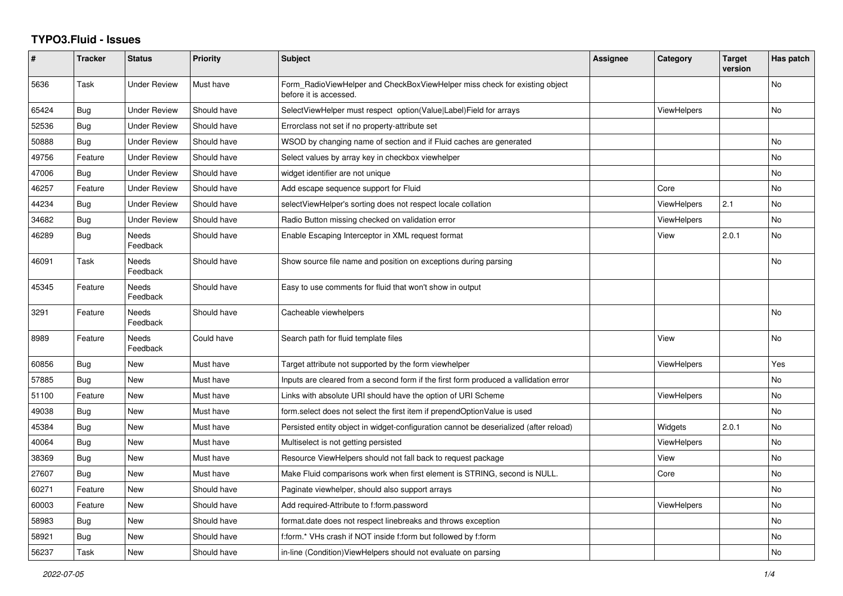## **TYPO3.Fluid - Issues**

| $\pmb{\#}$ | <b>Tracker</b> | <b>Status</b>            | <b>Priority</b> | Subject                                                                                              | Assignee | Category           | <b>Target</b><br>version | Has patch |
|------------|----------------|--------------------------|-----------------|------------------------------------------------------------------------------------------------------|----------|--------------------|--------------------------|-----------|
| 5636       | Task           | <b>Under Review</b>      | Must have       | Form RadioViewHelper and CheckBoxViewHelper miss check for existing object<br>before it is accessed. |          |                    |                          | <b>No</b> |
| 65424      | Bug            | <b>Under Review</b>      | Should have     | SelectViewHelper must respect option(Value Label)Field for arrays                                    |          | <b>ViewHelpers</b> |                          | No        |
| 52536      | Bug            | <b>Under Review</b>      | Should have     | Errorclass not set if no property-attribute set                                                      |          |                    |                          |           |
| 50888      | Bug            | <b>Under Review</b>      | Should have     | WSOD by changing name of section and if Fluid caches are generated                                   |          |                    |                          | <b>No</b> |
| 49756      | Feature        | <b>Under Review</b>      | Should have     | Select values by array key in checkbox viewhelper                                                    |          |                    |                          | No        |
| 47006      | Bug            | <b>Under Review</b>      | Should have     | widget identifier are not unique                                                                     |          |                    |                          | No        |
| 46257      | Feature        | <b>Under Review</b>      | Should have     | Add escape sequence support for Fluid                                                                |          | Core               |                          | No        |
| 44234      | Bug            | <b>Under Review</b>      | Should have     | selectViewHelper's sorting does not respect locale collation                                         |          | ViewHelpers        | 2.1                      | <b>No</b> |
| 34682      | Bug            | <b>Under Review</b>      | Should have     | Radio Button missing checked on validation error                                                     |          | <b>ViewHelpers</b> |                          | No        |
| 46289      | Bug            | Needs<br>Feedback        | Should have     | Enable Escaping Interceptor in XML request format                                                    |          | View               | 2.0.1                    | No        |
| 46091      | Task           | Needs<br>Feedback        | Should have     | Show source file name and position on exceptions during parsing                                      |          |                    |                          | No        |
| 45345      | Feature        | <b>Needs</b><br>Feedback | Should have     | Easy to use comments for fluid that won't show in output                                             |          |                    |                          |           |
| 3291       | Feature        | Needs<br>Feedback        | Should have     | Cacheable viewhelpers                                                                                |          |                    |                          | <b>No</b> |
| 8989       | Feature        | Needs<br>Feedback        | Could have      | Search path for fluid template files                                                                 |          | View               |                          | No        |
| 60856      | Bug            | New                      | Must have       | Target attribute not supported by the form viewhelper                                                |          | <b>ViewHelpers</b> |                          | Yes       |
| 57885      | Bug            | <b>New</b>               | Must have       | Inputs are cleared from a second form if the first form produced a vallidation error                 |          |                    |                          | <b>No</b> |
| 51100      | Feature        | New                      | Must have       | Links with absolute URI should have the option of URI Scheme                                         |          | <b>ViewHelpers</b> |                          | <b>No</b> |
| 49038      | Bug            | New                      | Must have       | form select does not select the first item if prependOptionValue is used                             |          |                    |                          | No        |
| 45384      | Bug            | New                      | Must have       | Persisted entity object in widget-configuration cannot be deserialized (after reload)                |          | Widgets            | 2.0.1                    | <b>No</b> |
| 40064      | Bug            | <b>New</b>               | Must have       | Multiselect is not getting persisted                                                                 |          | <b>ViewHelpers</b> |                          | <b>No</b> |
| 38369      | Bug            | New                      | Must have       | Resource ViewHelpers should not fall back to request package                                         |          | View               |                          | <b>No</b> |
| 27607      | Bug            | New                      | Must have       | Make Fluid comparisons work when first element is STRING, second is NULL.                            |          | Core               |                          | No        |
| 60271      | Feature        | <b>New</b>               | Should have     | Paginate viewhelper, should also support arrays                                                      |          |                    |                          | <b>No</b> |
| 60003      | Feature        | New                      | Should have     | Add required-Attribute to f:form.password                                                            |          | <b>ViewHelpers</b> |                          | No        |
| 58983      | Bug            | New                      | Should have     | format.date does not respect linebreaks and throws exception                                         |          |                    |                          | No        |
| 58921      | Bug            | New                      | Should have     | f:form.* VHs crash if NOT inside f:form but followed by f:form                                       |          |                    |                          | No        |
| 56237      | Task           | <b>New</b>               | Should have     | in-line (Condition) View Helpers should not evaluate on parsing                                      |          |                    |                          | <b>No</b> |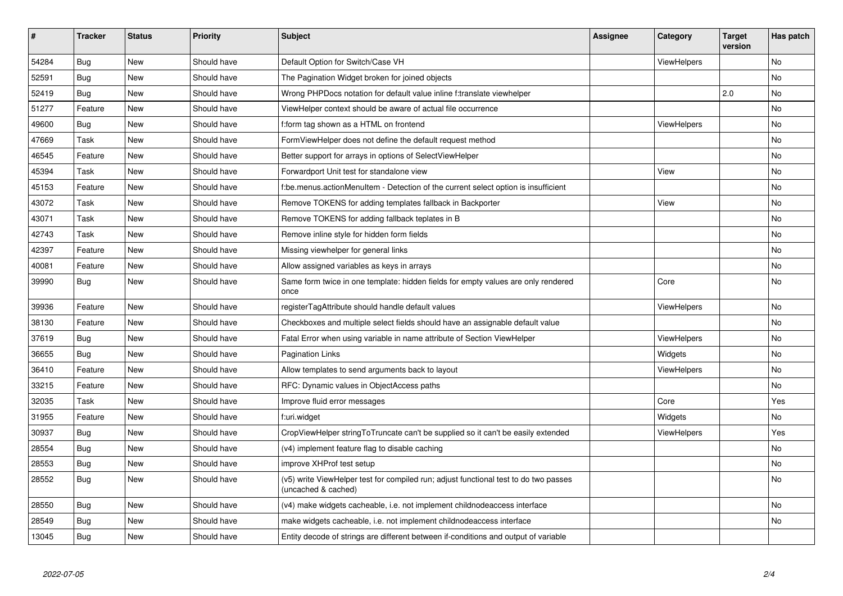| $\vert$ # | <b>Tracker</b> | <b>Status</b> | <b>Priority</b> | Subject                                                                                                     | Assignee | Category           | <b>Target</b><br>version | Has patch |
|-----------|----------------|---------------|-----------------|-------------------------------------------------------------------------------------------------------------|----------|--------------------|--------------------------|-----------|
| 54284     | Bug            | New           | Should have     | Default Option for Switch/Case VH                                                                           |          | ViewHelpers        |                          | <b>No</b> |
| 52591     | Bug            | New           | Should have     | The Pagination Widget broken for joined objects                                                             |          |                    |                          | No        |
| 52419     | Bug            | New           | Should have     | Wrong PHPDocs notation for default value inline f:translate viewhelper                                      |          |                    | 2.0                      | No        |
| 51277     | Feature        | New           | Should have     | ViewHelper context should be aware of actual file occurrence                                                |          |                    |                          | <b>No</b> |
| 49600     | Bug            | New           | Should have     | f:form tag shown as a HTML on frontend                                                                      |          | ViewHelpers        |                          | No        |
| 47669     | Task           | New           | Should have     | FormViewHelper does not define the default request method                                                   |          |                    |                          | No        |
| 46545     | Feature        | <b>New</b>    | Should have     | Better support for arrays in options of SelectViewHelper                                                    |          |                    |                          | <b>No</b> |
| 45394     | Task           | New           | Should have     | Forwardport Unit test for standalone view                                                                   |          | View               |                          | No        |
| 45153     | Feature        | New           | Should have     | be menus action Menultem - Detection of the current select option is insufficient                           |          |                    |                          | <b>No</b> |
| 43072     | Task           | New           | Should have     | Remove TOKENS for adding templates fallback in Backporter                                                   |          | View               |                          | No        |
| 43071     | Task           | New           | Should have     | Remove TOKENS for adding fallback teplates in B                                                             |          |                    |                          | <b>No</b> |
| 42743     | Task           | New           | Should have     | Remove inline style for hidden form fields                                                                  |          |                    |                          | <b>No</b> |
| 42397     | Feature        | New           | Should have     | Missing viewhelper for general links                                                                        |          |                    |                          | No        |
| 40081     | Feature        | New           | Should have     | Allow assigned variables as keys in arrays                                                                  |          |                    |                          | No        |
| 39990     | Bug            | New           | Should have     | Same form twice in one template: hidden fields for empty values are only rendered<br>once                   |          | Core               |                          | No        |
| 39936     | Feature        | New           | Should have     | registerTagAttribute should handle default values                                                           |          | <b>ViewHelpers</b> |                          | No        |
| 38130     | Feature        | New           | Should have     | Checkboxes and multiple select fields should have an assignable default value                               |          |                    |                          | No        |
| 37619     | Bug            | New           | Should have     | Fatal Error when using variable in name attribute of Section ViewHelper                                     |          | <b>ViewHelpers</b> |                          | No        |
| 36655     | Bug            | <b>New</b>    | Should have     | <b>Pagination Links</b>                                                                                     |          | Widgets            |                          | No        |
| 36410     | Feature        | New           | Should have     | Allow templates to send arguments back to layout                                                            |          | ViewHelpers        |                          | No        |
| 33215     | Feature        | <b>New</b>    | Should have     | RFC: Dynamic values in ObjectAccess paths                                                                   |          |                    |                          | No        |
| 32035     | Task           | New           | Should have     | Improve fluid error messages                                                                                |          | Core               |                          | Yes       |
| 31955     | Feature        | New           | Should have     | f:uri.widget                                                                                                |          | Widgets            |                          | <b>No</b> |
| 30937     | <b>Bug</b>     | New           | Should have     | CropViewHelper stringToTruncate can't be supplied so it can't be easily extended                            |          | ViewHelpers        |                          | Yes       |
| 28554     | Bug            | New           | Should have     | (v4) implement feature flag to disable caching                                                              |          |                    |                          | <b>No</b> |
| 28553     | Bug            | New           | Should have     | improve XHProf test setup                                                                                   |          |                    |                          | No        |
| 28552     | Bug            | New           | Should have     | (v5) write ViewHelper test for compiled run; adjust functional test to do two passes<br>(uncached & cached) |          |                    |                          | No        |
| 28550     | Bug            | New           | Should have     | (v4) make widgets cacheable, i.e. not implement childnodeaccess interface                                   |          |                    |                          | <b>No</b> |
| 28549     | Bug            | New           | Should have     | make widgets cacheable, i.e. not implement childnodeaccess interface                                        |          |                    |                          | <b>No</b> |
| 13045     | Bug            | New           | Should have     | Entity decode of strings are different between if-conditions and output of variable                         |          |                    |                          |           |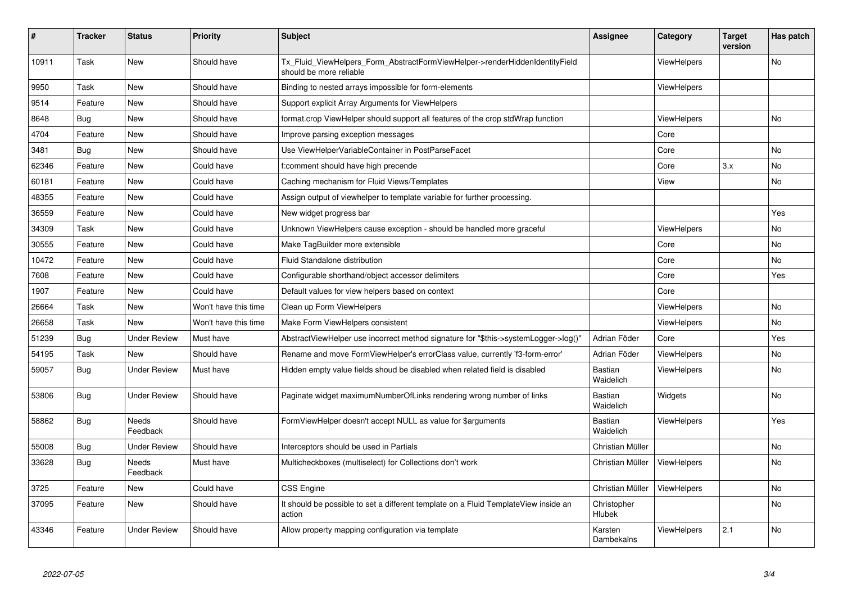| #     | <b>Tracker</b> | <b>Status</b>       | <b>Priority</b>      | <b>Subject</b>                                                                                         | Assignee                    | Category           | <b>Target</b><br>version | Has patch |
|-------|----------------|---------------------|----------------------|--------------------------------------------------------------------------------------------------------|-----------------------------|--------------------|--------------------------|-----------|
| 10911 | Task           | New                 | Should have          | Tx_Fluid_ViewHelpers_Form_AbstractFormViewHelper->renderHiddenIdentityField<br>should be more reliable |                             | <b>ViewHelpers</b> |                          | No        |
| 9950  | Task           | New                 | Should have          | Binding to nested arrays impossible for form-elements                                                  |                             | <b>ViewHelpers</b> |                          |           |
| 9514  | Feature        | <b>New</b>          | Should have          | Support explicit Array Arguments for ViewHelpers                                                       |                             |                    |                          |           |
| 8648  | Bug            | New                 | Should have          | format.crop ViewHelper should support all features of the crop stdWrap function                        |                             | ViewHelpers        |                          | No        |
| 4704  | Feature        | New                 | Should have          | Improve parsing exception messages                                                                     |                             | Core               |                          |           |
| 3481  | Bug            | New                 | Should have          | Use ViewHelperVariableContainer in PostParseFacet                                                      |                             | Core               |                          | No        |
| 62346 | Feature        | New                 | Could have           | f:comment should have high precende                                                                    |                             | Core               | 3.x                      | No        |
| 60181 | Feature        | New                 | Could have           | Caching mechanism for Fluid Views/Templates                                                            |                             | View               |                          | No        |
| 48355 | Feature        | New                 | Could have           | Assign output of viewhelper to template variable for further processing.                               |                             |                    |                          |           |
| 36559 | Feature        | New                 | Could have           | New widget progress bar                                                                                |                             |                    |                          | Yes       |
| 34309 | Task           | New                 | Could have           | Unknown ViewHelpers cause exception - should be handled more graceful                                  |                             | ViewHelpers        |                          | No        |
| 30555 | Feature        | New                 | Could have           | Make TagBuilder more extensible                                                                        |                             | Core               |                          | No        |
| 10472 | Feature        | New                 | Could have           | Fluid Standalone distribution                                                                          |                             | Core               |                          | No        |
| 7608  | Feature        | New                 | Could have           | Configurable shorthand/object accessor delimiters                                                      |                             | Core               |                          | Yes       |
| 1907  | Feature        | New                 | Could have           | Default values for view helpers based on context                                                       |                             | Core               |                          |           |
| 26664 | Task           | <b>New</b>          | Won't have this time | Clean up Form ViewHelpers                                                                              |                             | <b>ViewHelpers</b> |                          | No.       |
| 26658 | Task           | <b>New</b>          | Won't have this time | Make Form ViewHelpers consistent                                                                       |                             | <b>ViewHelpers</b> |                          | No        |
| 51239 | Bug            | <b>Under Review</b> | Must have            | AbstractViewHelper use incorrect method signature for "\$this->systemLogger->log()"                    | Adrian Föder                | Core               |                          | Yes       |
| 54195 | Task           | New                 | Should have          | Rename and move FormViewHelper's errorClass value, currently 'f3-form-error'                           | Adrian Föder                | <b>ViewHelpers</b> |                          | No        |
| 59057 | <b>Bug</b>     | <b>Under Review</b> | Must have            | Hidden empty value fields shoud be disabled when related field is disabled                             | <b>Bastian</b><br>Waidelich | <b>ViewHelpers</b> |                          | No        |
| 53806 | Bug            | <b>Under Review</b> | Should have          | Paginate widget maximumNumberOfLinks rendering wrong number of links                                   | Bastian<br>Waidelich        | Widgets            |                          | No.       |
| 58862 | Bug            | Needs<br>Feedback   | Should have          | FormViewHelper doesn't accept NULL as value for \$arguments                                            | <b>Bastian</b><br>Waidelich | <b>ViewHelpers</b> |                          | Yes       |
| 55008 | <b>Bug</b>     | <b>Under Review</b> | Should have          | Interceptors should be used in Partials                                                                | Christian Müller            |                    |                          | No.       |
| 33628 | Bug            | Needs<br>Feedback   | Must have            | Multicheckboxes (multiselect) for Collections don't work                                               | Christian Müller            | ViewHelpers        |                          | No        |
| 3725  | Feature        | <b>New</b>          | Could have           | <b>CSS Engine</b>                                                                                      | Christian Müller            | <b>ViewHelpers</b> |                          | No.       |
| 37095 | Feature        | New                 | Should have          | It should be possible to set a different template on a Fluid TemplateView inside an<br>action          | Christopher<br>Hlubek       |                    |                          | No        |
| 43346 | Feature        | <b>Under Review</b> | Should have          | Allow property mapping configuration via template                                                      | Karsten<br>Dambekalns       | ViewHelpers        | 2.1                      | No        |